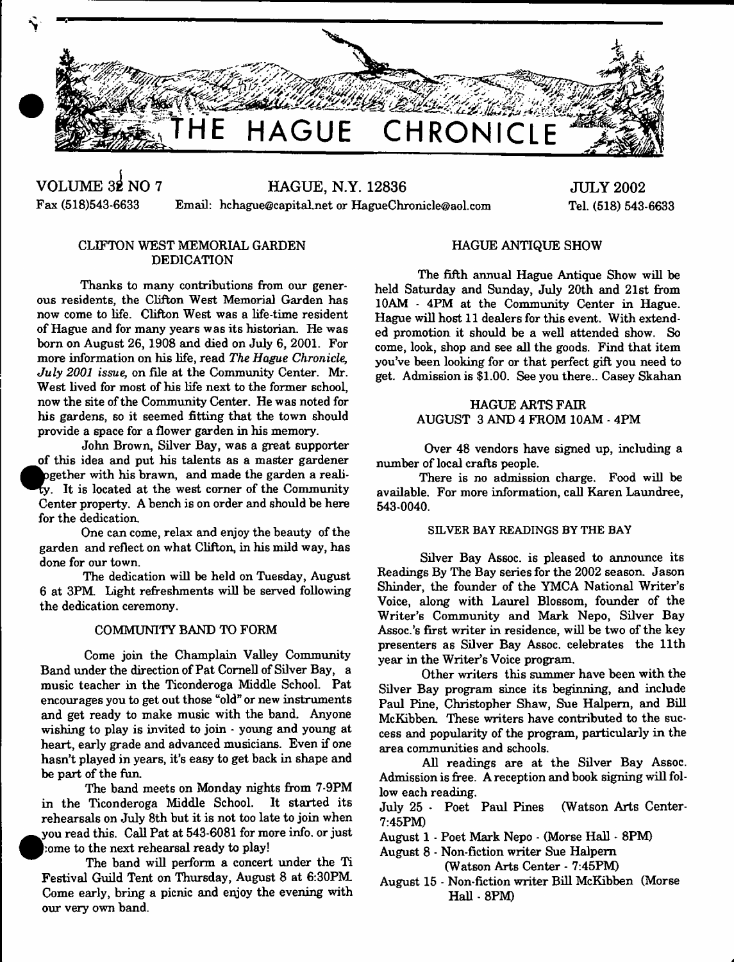

*3 2***38VOLUME NO 7 HAGUE, N.Y. 12836** Fax (518)543-6633 Email: [hchague@capital.net](mailto:hchague@capital.net) or [HagueChronicle@aol.com](mailto:HagueChronicle@aol.com)

**JULY 2002** Tel. (518) 543-6633

# CLIFTON WEST MEMORIAL GARDEN DEDICATION

Thanks to many contributions from our generous residents, the Clifton West Memorial Garden has now come to life. Clifton West was a life-time resident of Hague and for many years was its historian. He was bom on August 26, 1908 and died on July 6, 2001. For more information on his life, read *The Hague Chronicle, July 2001 issue,* on file at the Community Center. Mr. West lived for most of his life next to the former school, now the site of the Community Center. He was noted for his gardens, so it seemed fitting that the town should provide a space for a flower garden in his memory.

John Brown, Silver Bay, was a great supporter of this idea and put his talents as a master gardener pgether with his brawn, and made the garden a reality. It is located at the west corner of the Community Center property. A bench is on order and should be here for the dedication.

One can come, relax and enjoy the beauty of the garden and reflect on what Clifton, in his mild way, has done for our town.

The dedication will be held on Tuesday, August 6 at 3PM Light refreshments will be served following the dedication ceremony.

## COMMUNITY BAND TO FORM

Come join the Champlain Valley Community Band under the direction of Pat Cornell of Silver Bay, a music teacher in the Ticonderoga Middle School. Pat encourages you to get out those "old" or new instruments and get ready to make music with the band. Anyone wishing to play is invited to join - young and young at heart, early grade and advanced musicians. Even if one hasn't played in years, it's easy to get back in shape and be part of the fun.

The band meets on Monday nights from 7-9PM in the Ticonderoga Middle School. It started its rehearsals on July 8th but it is not too late to join when .you read this. Call Pat at 543-6081 for more info, or just come to the next rehearsal ready to play!

The band will perform a concert under the Ti Festival Guild Tent on Thursday, August 8 at 6:30PM Come early, bring a picnic and enjoy the evening with our very own band.

## HAGUE ANTIQUE SHOW

The fifth annual Hague Antique Show will be held Saturday and Sunday, July 20th and 21st from 10AM - 4PM at the Community Center in Hague. Hague will host 11 dealers for this event. With extended promotion it should be a well attended show. So come, look, shop and see all the goods. Find that item you've been looking for or that perfect gift you need to get. Admission is \$1.00. See you there.. Casey Skahan

## HAGUE ARTS FAIR AUGUST 3 AND 4 FROM 10AM - 4PM

Over 48 vendors have signed up, including a number of local crafts people.

There is no admission charge. Food will be available. For more information, call Karen Laundree, 543-0040.

#### SILVER BAY READINGS BY THE BAY

Silver Bay Assoc, is pleased to announce its Readings By The Bay series for the 2002 season. Jason Shinder, the founder of the YMCA National Writer's Voice, along with Laurel Blossom, founder of the Writer's Community and Mark Nepo, Silver Bay Assoc.'s first writer in residence, will be two of the key presenters as Silver Bay Assoc, celebrates the 11th year in the Writer's Voice program.

Other writers this summer have been with the Silver Bay program since its beginning, and include Paul Pine, Christopher Shaw, Sue Halpern, and Bill McKibben. These writers have contributed to the success and popularity of the program, particularly in the area communities and schools.

All readings are at the Silver Bay Assoc. Admission is free. A reception and book signing will follow each reading.

July 25 - Poet Paul Pines (Watson Arts Center-7:45PM)

August 1 - Poet Mark Nepo - (Morse Hall - 8PM)

August 8 - Non-fiction writer Sue Halpern (Watson Arts Center - 7:45PM)

August 15 - Non-fiction writer Bill McKibben (Morse Hall - 8PM)

*A*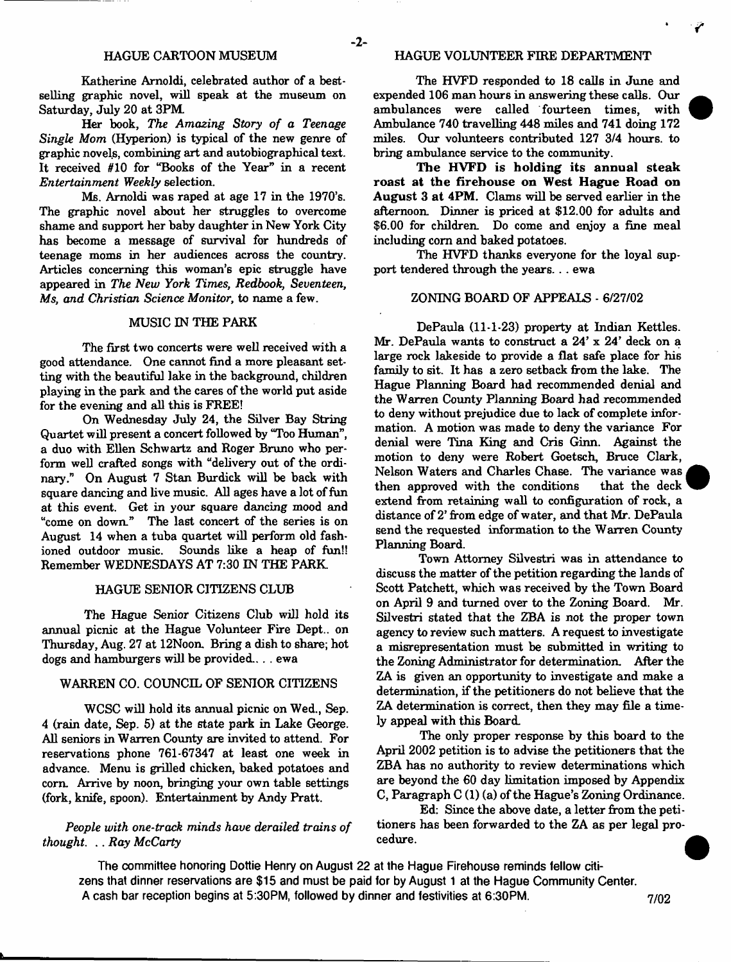Katherine Amoldi, celebrated author of a bestselling graphic novel, will speak at the museum on Saturday, July 20 at 3PM.

Her book, *The Amazing Story of a Teenage Single Mom* (Hyperion) is typical of the new genre of graphic novels, combining art and autobiographical text. It received #10 for "Books of the Year" in a recent *Entertainment Weekly* selection.

Ms. Amoldi was raped at age 17 in the 1970's. The graphic novel about her struggles to overcome shame and support her baby daughter in New York City has become a message of survival for hundreds of teenage moms in her audiences across the country. Articles concerning this woman's epic struggle have appeared in *The New York Times*, *Redbook, Seventeen, Ms, and Christian Science Monitor,* to name a few.

# MUSIC IN THE PARK

The first two concerts were well received with a good attendance. One cannot find a more pleasant setting with the beautiful lake in the background, children playing in the park and the cares of the world put aside for the evening and all this is FREE!

On Wednesday July 24, the Silver Bay String Quartet will present a concert followed by "Too Human", a duo with Ellen Schwartz and Roger Bruno who perform well crafted songs with "delivery out of the ordinary." On August 7 Stan Burdick will be back with square dancing and live music. All ages have a lot of fun at this event. Get in your square dancing mood and "come on down." The last concert of the series is on August 14 when a tuba quartet will perform old fashioned outdoor music. Sounds like a heap of fun!! Remember WEDNESDAYS AT 7:30 IN THE PARK

#### HAGUE SENIOR CITIZENS CLUB

The Hague Senior Citizens Club will hold its annual picnic at the Hague Volunteer Fire Dept., on Thursday, Aug. 27 at 12Noon. Bring a dish to share; hot dogs and hamburgers will be provided... . ewa

#### WARREN CO. COUNCIL OF SENIOR CITIZENS

WCSC will hold its annual picnic on Wed., Sep. 4 (rain date, Sep. 5) at the state park in Lake George. All seniors in Warren County are invited to attend. For reservations phone 761-67347 at least one week in advance. Menu is grilled chicken, baked potatoes and corn. Arrive by noon, bringing your own table settings (fork, knife, spoon). Entertainment by Andy Pratt.

## *People with one-track minds have derailed trains of thought.* .. *Ray* McCarty

## HAGUE CARTOON MUSEUM HAGUE VOLUNTEER FIRE DEPARTMENT

- **2**-

The HVFD responded to 18 calls in June and expended 106 man hours in answering these calls. Our ambulances were called fourteen times, with Ambulance 740 travelling 448 miles and 741 doing 172 miles. Our volunteers contributed 127 3/4 hours, to bring ambulance service to the community.

The HVFD is holding its annual steak roast at the firehouse on West Hague Road on August 3 at 4PM. Clams will be served earlier in the afternoon. Dinner is priced at \$12.00 for adults and \$6.00 for children. Do come and enjoy a fine meal including com and baked potatoes.

The HVFD thanks everyone for the loyal support tendered through the years. . . ewa

#### ZONING BOARD OF APPEALS - 6/27/02

DePaula (11-1-23) property at Indian Kettles. Mr. DePaula wants to construct a  $24' \times 24'$  deck on a large rock lakeside to provide a flat safe place for his family to sit. It has a zero setback from the lake. The Hague Planning Board had recommended denial and the Warren County Planning Board had recommended to deny without prejudice due to lack of complete information. A motion was made to deny the variance For denial were Tina King and Cris Ginn. Against the motion to deny were Robert Goetsch, Bruce Clark, Nelson W aters and Charles Chase. The variance was then approved with the conditions that the deck extend from retaining wall to configuration of rock, a distance of 2' from edge of water, and that Mr. DePaula send the requested information to the Warren County Planning Board.

Town Attorney Silvestri was in attendance to discuss the matter of the petition regarding the lands of Scott Patchett, which was received by the Town Board on April 9 and turned over to the Zoning Board. Mr. Silvestri stated that the ZBA is not the proper town agency to review such matters. A request to investigate a misrepresentation must be submitted in writing to the Zoning Administrator for determination. After the ZA is given an opportunity to investigate and make a determination, if the petitioners do not believe that the ZA determination is correct, then they may file a timely appeal with this Board.

The only proper response by this board to the April 2002 petition is to advise the petitioners that the ZBA has no authority to review determinations which are beyond the 60 day limitation imposed by Appendix C, Paragraph C (1) (a) of the Hague's Zoning Ordinance.

Ed: Since the above date, a letter from the petitioners has been forwarded to the ZA as per legal procedure.

**The committee honoring Dottie Henry on August 22 at the Hague Firehouse reminds tellow citizens that dinner reservations are \$15 and must be paid for by August 1 at the Hague Community Center.** A cash bar reception begins at 5:30PM, followed by dinner and festivities at 6:30PM.  $7/02$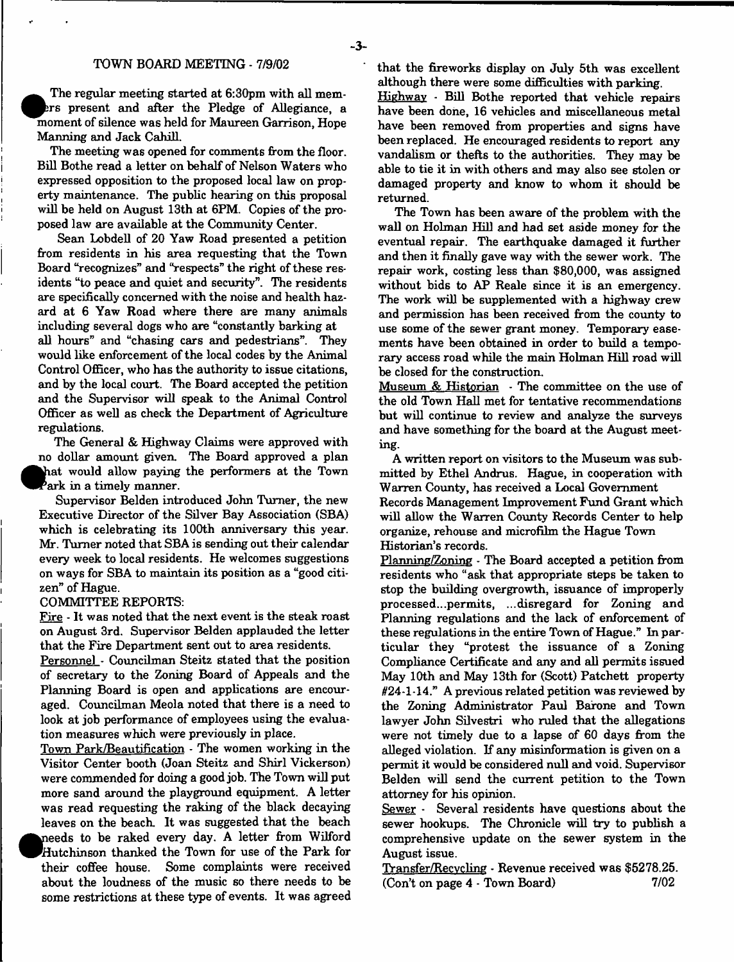The regular meeting started at 6:30pm with all members present and after the Pledge of Allegiance, a moment of silence was held for Maureen Garrison, Hope The regular meeting started at 6:30pm with all memrs present and after the Pledge of Allegiance, a Manning and Jack Cahill.

The meeting was opened for comments from the floor. Bill Bothe read a letter on behalf of Nelson Waters who expressed opposition to the proposed local law on property maintenance. The public hearing on this proposal will be held on August 13th at 6PM. Copies of the proposed law are available at the Community Center.

Sean Lobdell of 20 Yaw Road presented a petition from residents in his area requesting that the Town Board "recognizes" and "respects" the right of these residents "to peace and quiet and security". The residents are specifically concerned with the noise and health hazard at 6 Yaw Road where there are many animals including several dogs who are "constantly barking at

all hours" and "chasing cars and pedestrians". They would like enforcement of the local codes by the Animal Control Officer, who has the authority to issue citations, and by the local court. The Board accepted the petition and the Supervisor will speak to the Animal Control Officer as well as check the Department of Agriculture regulations.

The General & Highway Claims were approved with no dollar amount given. The Board approved a plan hat would allow paying the performers at the Town ^B Park in a timely manner.

Supervisor Belden introduced John Turner, the new Executive Director of the Silver Bay Association (SBA) which is celebrating its 100th anniversary this year. Mr. Turner noted that SBA is sending out their calendar every week to local residents. He welcomes suggestions on ways for SBA to maintain its position as a "good citizen" of Hague.

#### COMMITTEE REPORTS:

**•**

Fire - It was noted that the next event is the steak roast on August 3rd. Supervisor Belden applauded the letter that the Fire Department sent out to area residents.

Personnel - Councilman Steitz stated that the position of secretary to the Zoning Board of Appeals and the Planning Board is open and applications are encouraged. Councilman Meola noted that there is a need to look at job performance of employees using the evaluation measures which were previously in place.

Town Park/Beautification - The women working in the Visitor Center booth (Joan Steitz and Shirl Vickerson) were commended for doing a good job. The Town will put more sand around the playground equipment. A letter was read requesting the raking of the black decaying leaves on the beach. It was suggested that the beach needs to be raked every day. A letter from Wilford Hutchinson thanked the Town for use of the Park for their coffee house. Some complaints were received about the loudness of the music so there needs to be some restrictions at these type of events. It was agreed that the fireworks display on July 5th was excellent although there were some difficulties with parking.

Highway - Bill Bothe reported that vehicle repairs have been done, 16 vehicles and miscellaneous metal have been removed from properties and signs have been replaced. He encouraged residents to report any vandalism or thefts to the authorities. They may be able to tie it in with others and may also see stolen or damaged property and know to whom it should be returned.

The Town has been aware of the problem with the wall on Holman Hill and had set aside money for the eventual repair. The earthquake damaged it further and then it finally gave way with the sewer work. The repair work, costing less than \$80,000, was assigned without bids to AP Reale since it is an emergency. The work will be supplemented with a highway crew and permission has been received from the county to use some of the sewer grant money. Temporary easements have been obtained in order to build a temporary access road while the main Holman Hill road will be closed for the construction.

Museum  $\&$  Historian  $-$  The committee on the use of the old Town Hall met for tentative recommendations but will continue to review and analyze the surveys and have something for the board at the August meeting.

A written report on visitors to the Museum was submitted by Ethel Andrus. Hague, in cooperation with W arren County, has received a Local Government Records Management Improvement Fund Grant which will allow the Warren County Records Center to help organize, rehouse and microfilm the Hague Town Historian's records.

Planning/Zoning - The Board accepted a petition from residents who "ask that appropriate steps be taken to stop the building overgrowth, issuance of improperly processed...permits, ...disregard for Zoning and Planning regulations and the lack of enforcement of these regulations in the entire Town of Hague." In particular they "protest the issuance of a Zoning Compliance Certificate and any and all permits issued May 10th and May 13th for (Scott) Patchett property  $#24-1.14."$  A previous related petition was reviewed by the Zoning Administrator Paul Barone and Town lawyer John Silvestri who ruled that the allegations were not timely due to a lapse of 60 days from the alleged violation. If any misinformation is given on a permit it would be considered null and void. Supervisor Belden will send the current petition to the Town attorney for his opinion.

Sewer - Several residents have questions about the sewer hookups. The Chronicle will try to publish a comprehensive update on the sewer system in the August issue.

Transfer/Recvcling - Revenue received was \$5278.25.  $(Con't on page 4 - Town Board)$  7/02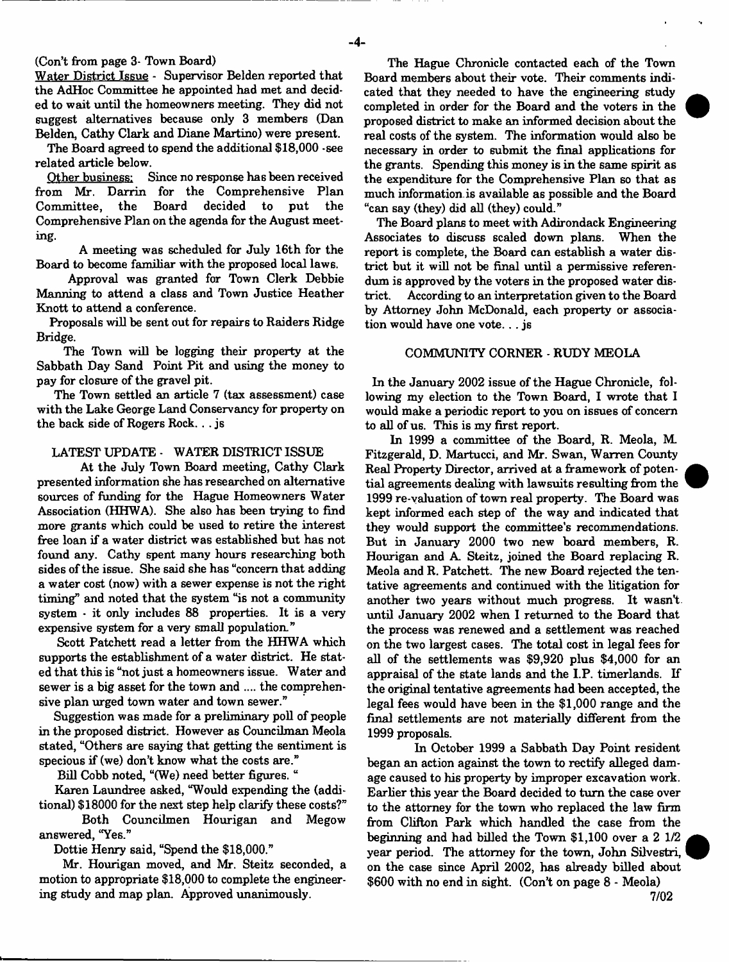## (Con't from page 3- Town Board)

Water District Issue - Supervisor Belden reported that the AdHoc Committee he appointed had met and decided to wait until the homeowners meeting. They did not suggest alternatives because only 3 members (Dan Belden, Cathy Clark and Diane Martino) were present.

The Board agreed to spend the additional \$18,000 -see related article below.

Other business: Since no response has been received from Mr. Darrin for the Comprehensive Plan<br>Committee, the Board decided to put the Committee. Comprehensive Plan on the agenda for the August meeting.

A meeting was scheduled for July 16th for the Board to become familiar with the proposed local laws.

Approval was granted for Town Clerk Debbie Manning to attend a class and Town Justice Heather Knott to attend a conference.

Proposals will be sent out for repairs to Raiders Ridge Bridge.

The Town will be logging their property at the Sabbath Day Sand Point Pit and using the money to pay for closure of the gravel pit.

The Town settled an article 7 (tax assessment) case with the Lake George Land Conservancy for property on the back side of Rogers Rock.. . js

#### LATEST UPDATE - WATER DISTRICT ISSUE

At the July Town Board meeting, Cathy Clark presented information she has researched on alternative sources of funding for the Hague Homeowners Water Association (HHWA). She also has been trying to find more grants which could be used to retire the interest free loan if a w ater district was established but has not found any. Cathy spent many hours researching both sides of the issue. She said she has "concern that adding a water cost (now) with a sewer expense is not the right timing" and noted that the system "is not a community system - it only includes 88 properties. It is a very expensive system for a very small population."

Scott Patchett read a letter from the HHWA which supports the establishment of a water district. He stated that this is "not just a homeowners issue. Water and sewer is a big asset for the town and .... the comprehensive plan urged town water and town sewer."

Suggestion was made for a preliminary poll of people in the proposed district. However as Councilman Meola stated, "Others are saying that getting the sentiment is specious if (we) don't know what the costs are."

Bill Cobb noted, "(We) need better figures. "

Karen Laundree asked, "Would expending the (additional) \$18000 for the next step help clarify these costs?"

Both Councilmen Hourigan and Megow answered, "Yes."

Dottie Henry said, "Spend the \$18,000."

Mr. Hourigan moved, and Mr. Steitz seconded, a motion to appropriate \$18,000 to complete the engineering study and map plan. Approved unanimously.

The Hague Chronicle contacted each of the Town Board members about their vote. Their comments indicated that they needed to have the engineering study completed in order for the Board and the voters in the proposed district to make an informed decision about the real costs of the system. The information would also be necessary in order to submit the final applications for the grants. Spending this money is in the same spirit as the expenditure for the Comprehensive Plan so that as much information is available as possible and the Board "can say (they) did all (they) could."

The Board plans to meet with Adirondack Engineering Associates to discuss scaled down plans. When the report is complete, the Board can establish a water district but it will not be final until a permissive referendum is approved by the voters in the proposed water district. According to an interpretation given to the Board by Attorney John McDonald, each property or association would have one vote. . . js

#### COMMUNITY CORNER - RUDY MEOLA

In the January 2002 issue of the Hague Chronicle, following my election to the Town Board. I wrote that I would make a periodic report to you on issues of concern to all of us. This is my first report.

In 1999 a committee of the Board, R. Meola, M. Fitzgerald, D. Martucci, and Mr. Swan, Warren County Real Property Director, arrived at a framework of potential agreements dealing with lawsuits resulting from the 1999 re-valuation of town real property. The Board was kept informed each step of the way and indicated that they would support the committee's recommendations. But in January 2000 two new board members, R. Hourigan and A. Steitz, joined the Board replacing R. Meola and R. Patchett. The new Board rejected the tentative agreements and continued with the litigation for another two years without much progress. It wasn't, until January 2002 when I returned to the Board that the process was renewed and a settlement was reached on the two largest cases. The total cost in legal fees for all of the settlements was \$9,920 plus \$4,000 for an appraisal of the state lands and the I.P. timerlands. If the original tentative agreements had been accepted, the legal fees would have been in the \$1,000 range and the final settlements are not materially different from the 1999 proposals.

In October 1999 a Sabbath Day Point resident began an action against the town to rectify alleged damage caused to his property by improper excavation work. Earlier this year the Board decided to turn the case over to the attorney for the town who replaced the law firm from Clifton Park which handled the case from the beginning and had billed the Town \$1,100 over a 2 1/2 year period. The attorney for the town, John Silvestri, on the case since April 2002, has already billed about \$600 with no end in sight. (Con't on page 8 - Meola) 7/02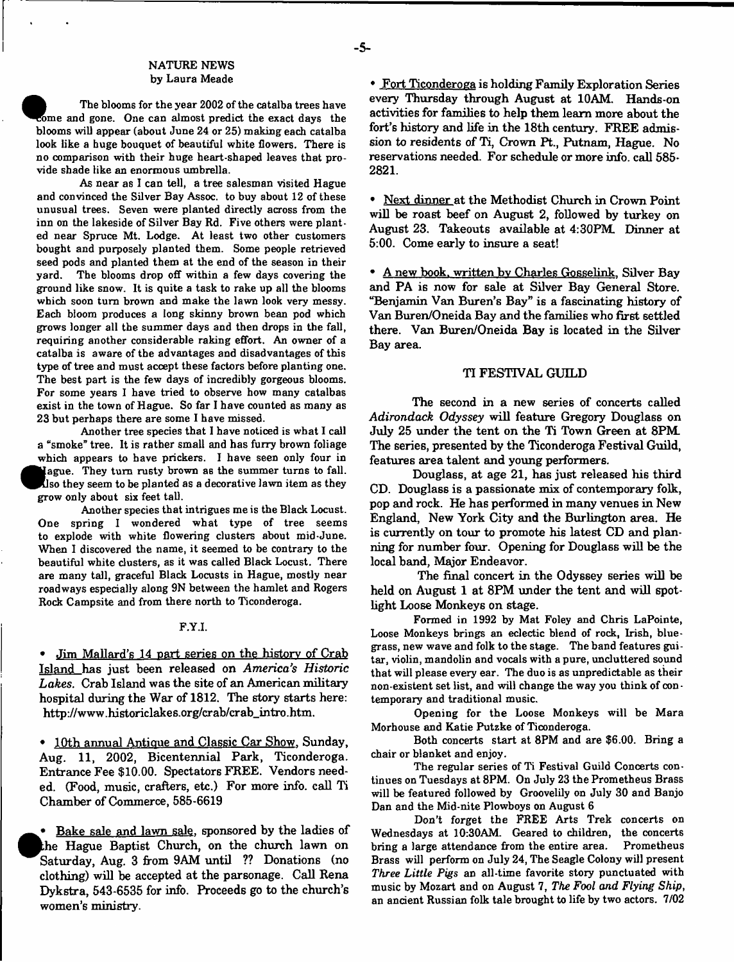#### NATURE NEWS by Laura Meade

The blooms for the year 2002 of the catalba trees have come and gone. One can almost predict the exact days the blooms will appear (about June 24 or 25) making each catalba look like a huge bouquet of beautiful white flowers. There is no comparison with their huge heart-shaped leaves that provide shade like an enormous umbrella.

As near as I can tell, a tree salesman visited Hague and convinced the Silver Bay Assoc, to buy about 12 of these unusual trees. Seven were planted directly across from the inn on the lakeside of Silver Bay Rd. Five others were planted near Spruce Mt. Lodge. At least two other customers bought and purposely planted them. Some people retrieved seed pods and planted them at the end of the season in their yard. The blooms drop off within a few days covering the ground like snow. It is quite a task to rake up all the blooms which soon turn brown and make the lawn look very messy. Each bloom produces a long skinny brown bean pod which grows longer all the summer days and then drops in the fall, requiring another considerable raking effort. An owner of a catalba is aware of the advantages and disadvantages of this type of tree and must accept these factors before planting one. The best part is the few days of incredibly gorgeous blooms. For some years I have tried to observe how many catalbas exist in the town of Hague. So far I have counted as many as 23 but perhaps there are some I have missed.

Another tree species that I have noticed is what I call a "smoke" tree. It is rather small and has furry brown foliage which appears to have prickers. I have seen only four in **«** ague. They turn rusty brown as the summer turns to fall. Iso they seem to be planted as a decorative lawn item as they grow only about six feet tall.

Another species that intrigues me is the Black Locust. One spring I wondered what type of tree seems to explode with white flowering clusters about mid-June. When I discovered the name, it seemed to be contrary to the beautiful white clusters, as it was called Black Locust. There are many tall, graceful Black Locusts in Hague, mostly near roadways especially along 9N between the hamlet and Rogers Rock Campsite and from there north to Ticonderoga.

#### F.Y.I.

• Jim Mallard's 14 part series on the history of Crab Island has just been released on *America's Historic Lakes.* Crab Island was the site of an American military hospital during the War of 1812. The story starts here: [http://www.historiclakes.org/crab/crab\\_intro.htm.](http://www.historiclakes.org/crab/crab_intro.htm)

• 10th annual Antique and Classic Car Show, Sunday, Aug. 11, 2002, Bicentennial Park, Ticonderoga. Entrance Fee \$10.00. Spectators FREE. Vendors needed. (Food, music, crafters, etc.) For more info, call Ti Chamber of Commerce, 585-6619

• Bake sale and lawn sale, sponsored by the ladies of the Hague Baptist Church, on the church lawn on Saturday, Aug. 3 from 9AM until ?? Donations (no clothing) will be accepted at the parsonage. Call Rena Dykstra, 543-6535 for info. Proceeds go to the church's women's ministry.

• Fort Ticonderoga is holding Family Exploration Series every Thursday through August at 10AM. Hands-on activities for families to help them learn more about the fort's history and life in the 18th century. FREE admission to residents of Ti, Crown Pt., Putnam, Hague. No reservations needed. For schedule or more info, call 585- 2821.

• Next dinner at the Methodist Church in Crown Point will be roast beef on August 2, followed by turkey on August 23. Takeouts available at 4:30PM. Dinner at 5:00. Come early to insure a seat!

• A new book, written bv Charles Gosselink. Silver Bay and PA is now for sale at Silver Bay General Store. "Benjamin Van Buren's Bay" is a fascinating history of Van Buren/Oneida Bay and the families who first settled there. Van Buren/Oneida Bay is located in the Silver Bay area.

#### TI FESTIVAL GUILD

The second in a new series of concerts called *Adirondack Odyssey* will feature Gregory Douglass on July 25 under the tent on the Ti Town Green at 8PM. The series, presented by the Ticonderoga Festival Guild, features area talent and young performers.

Douglass, at age 21, has just released his third CD. Douglass is a passionate mix of contemporary folk, pop and rock. He has performed in many venues in New England, New York City and the Burlington area. He is currently on tour to promote his latest CD and planning for number four. Opening for Douglass will be the local band, Major Endeavor.

The final concert in the Odyssey series will be held on August 1 at 8PM under the tent and will spotlight Loose Monkeys on stage.

Formed in 1992 by Mat Foley and Chris LaPointe, Loose Monkeys brings an eclectic blend of rock, Irish, bluegrass, new wave and folk to the stage. The band features guitar, violin, mandolin and vocals with a pure, uncluttered sound that will please every ear. The duo is as unpredictable as their non-existent set list, and will change the way you think of contemporary and traditional music.

Opening for the Loose Monkeys will be Mara Morhouse and Katie Putzke of Ticonderoga.

Both concerts start at 8PM and are \$6.00. Bring a chair or blanket and enjoy.

The regular series of Ti Festival Guild Concerts continues on Tuesdays at 8PM. On July 23 the Prometheus Brass will be featured followed by Groovelily on July 30 and Banjo Dan and the Mid-nite Plowboys on August 6

Don't forget the FREE Arts Trek concerts on Wednesdays at 10:30AM. Geared to children, the concerts bring a large attendance from the entire area. Prometheus Brass will perform on July 24, The Seagle Colony will present *Three Little Pigs* an all-time favorite story punctuated with music by Mozart and on August 7, *The Fool and Flying Ship*, an ancient Russian folk tale brought to life by two actors. 7/02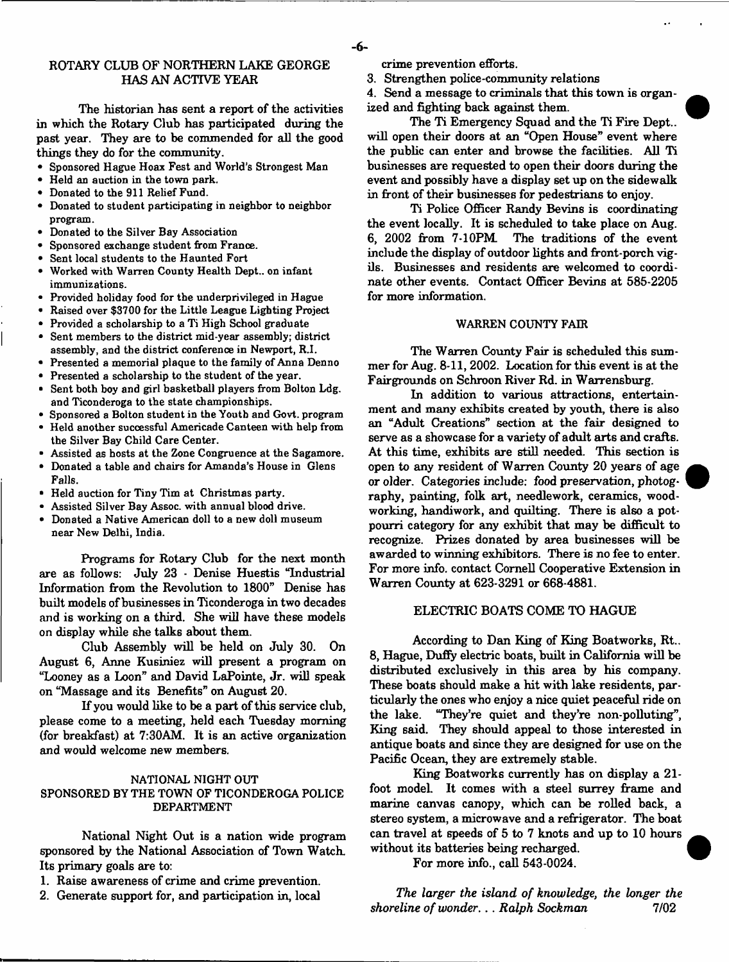The historian has sent a report of the activities in which the Rotary Club has participated during the past year. They are to be commended for all the good things they do for the community.

- Sponsored Hague Hoax Fest and World's Strongest Man
- Held an auction in the town park.
- Donated to the 911 Relief Fund.
- Donated to student participating in neighbor to neighbor program.
- Donated to the Silver Bay Association
- Sponsored exchange student from France.
- Sent local students to the Haunted Fort
- Worked with Warren County Health Dept., on infant immunizations.
- Provided holiday food for the underprivileged in Hague
- Raised over \$3700 for the Little League Lighting Project
- Provided a scholarship to a Ti High School graduate
- Sent members to the district mid-year assembly; district assembly, and the district conference in Newport, R.I.
- Presented a memorial plaque to the family of Anna Denno
- Presented a scholarship to the student of the year.
- Sent both boy and girl basketball players from Bolton Ldg. and Ticonderoga to the state championships.
- Sponsored a Bolton student in the Youth and Govt, program • Held another successful Americade Canteen with help from
- the Silver Bay Child Care Center.
- Assisted as hosts at the Zone Congruence at the Sagamore.
- Donated a table and chairs for Amanda's House in Glens Falls.
- Held auction for Tiny Tim at Christmas party.
- Assisted Silver Bay Assoc, with annual blood drive.
- Donated a Native American doll to a new doll museum near New Delhi, India.

Programs for Rotary Club for the next month are as follows: July 23 - Denise Huestis "Industrial Information from the Revolution to 1800" Denise has built models of businesses in Ticonderoga in two decades and is working on a third. She will have these models on display while she talks about them.

Club Assembly will be held on July 30. On August 6, Anne Kusiniez will present a program on "Looney as a Loon" and David LaPointe, Jr. will speak on "Massage and its Benefits" on August 20.

If you would like to be a part of this service club, please come to a meeting, held each Tuesday morning (for breakfast) at 7:30AM. It is an active organization and would welcome new members.

## NATIONAL NIGHT OUT SPONSORED BY THE TOWN OF TICONDEROGA POLICE DEPARTMENT

National Night Out is a nation wide program sponsored by the National Association of Town Watch. Its primary goals are to:

- 1. Raise awareness of crime and crime prevention.
- 2. Generate support for, and participation in, local

crime prevention efforts.

3. Strengthen police-community relations

4. Send a message to criminals that this town is organized and fighting back against them.

The Ti Emergency Squad and the Ti Fire Dept., will open their doors at an "Open House" event where the public can enter and browse the facilities. All Ti businesses are requested to open their doors during the event and possibly have a display set up on the sidewalk in front of their businesses for pedestrians to enjoy.

Ti Police Officer Randy Bevins is coordinating the event locally. It is scheduled to take place on Aug.<br>6, 2002 from 7-10PM. The traditions of the event The traditions of the event include the display of outdoor lights and front-porch vigils. Businesses and residents are welcomed to coordinate other events. Contact Officer Bevins at 585-2205 for more information.

#### WARREN COUNTY FAIR

The Warren County Fair is scheduled this summer for Aug. 8-11, 2002. Location for this event is at the Fairgrounds on Schroon River Rd. in Warrensburg.

In addition to various attractions, entertainment and many exhibits created by youth, there is also an "Adult Creations" section at the fair designed to serve as a showcase for a variety of adult arts and crafts. At this time, exhibits are still needed. This section is open to any resident of Warren County 20 years of age or older. Categories include: food preservation, photography, painting, folk art, needlework, ceramics, woodworking, handiwork, and quilting. There is also a potpourri category for any exhibit that may be difficult to recognize. Prizes donated by area businesses will be awarded to winning exhibitors. There is no fee to enter. For more info, contact Cornell Cooperative Extension in W arren County at 623-3291 or 668-4881.

## ELECTRIC BOATS COME TO HAGUE

According to Dan King of King Boatworks, Rt.. 8, Hague, Duffy electric boats, built in California will be distributed exclusively in this area by his company. These boats should make a hit with lake residents, particularly the ones who enjoy a nice quiet peaceful ride on the lake. "They're quiet and they're non-polluting", King said. They should appeal to those interested in antique boats and since they are designed for use on the Pacific Ocean, they are extremely stable.

King Boatworks currently has on display a 21 foot modeL It comes with a steel surrey frame and marine canvas canopy, which can be rolled back, a stereo system, a microwave and a refrigerator. The boat can travel at speeds of 5 to 7 knots and up to 10 hours without its batteries being recharged.

For more info., call 543-0024.

The larger the island of knowledge, the longer the *shoreline of wonder... Ralph Sockman* 7/02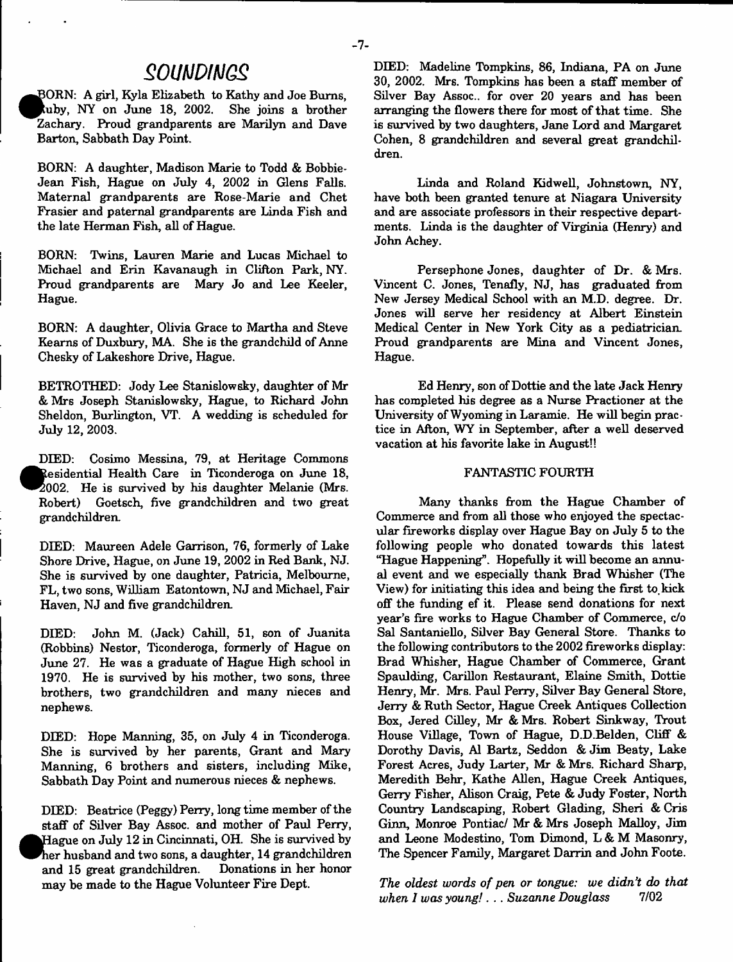# *SOUMDIMQS*

BORN: A girl, Kyla Elizabeth to Kathy and Joe Burns, kuby. NY on June 18, 2002. She joins a brother Zachary. Proud grandparents are Marilyn and Dave Barton, Sabbath Day Point.

BORN: A daughter, Madison Marie to Todd & Bobbie-Jean Fish, Hague on July 4, 2002 in Glens Falls. Maternal grandparents are Rose-Marie and Chet Frasier and paternal grandparents are Linda Fish and the late Herman Fish, all of Hague.

BORN: Twins, Lauren Marie and Lucas Michael to Michael and Erin Kavanaugh in Clifton Park, NY. Proud grandparents are Mary Jo and Lee Keeler, Hague.

BORN: A daughter, Olivia Grace to Martha and Steve Kearns of Duxbury, MA. She is the grandchild of Anne Chesky of Lakeshore Drive, Hague.

BETROTHED: Jody Lee Stanislowsky, daughter of Mr & Mrs Joseph Stanislowsky, Hague, to Richard John Sheldon, Burlington, VT. A wedding is scheduled for July 12, 2003.

DIED: Cosimo Messina, 79, at Heritage Commons **«** Residential Health Care in Ticonderoga on June 18, 2002. He is survived by his daughter Melanie (Mrs. Robert) Goetsch, five grandchildren and two great grandchildren.

DIED: Maureen Adele Garrison, 76, formerly of Lake Shore Drive, Hague, on June 19, 2002 in Red Bank, NJ. She is survived by one daughter, Patricia, Melbourne, FL, two sons, William Eatontown, NJ and Michael, Fair Haven, NJ and five grandchildren.

DEED: John M. (Jack) Cahill, 51, son of Juanita (Robbins) Nestor, Ticonderoga, formerly of Hague on June 27. He was a graduate of Hague High school in 1970. He is survived by his mother, two sons, three brothers, two grandchildren and many nieces and nephews.

DIED: Hope Manning, 35, on July 4 in Ticonderoga. She is survived by her parents, Grant and Mary Manning, 6 brothers and sisters, including Mike, Sabbath Day Point and numerous nieces & nephews.

DIED: Beatrice (Peggy) Perry, long time member of the staff of Silver Bay Assoc, and mother of Paul Perry, Hague on July 12 in Cincinnati, OH. She is survived by her husband and two sons, a daughter, 14 grandchildren and 15 great grandchildren. Donations in her honor may be made to the Hague Volunteer Fire Dept.

DEED: Madeline Tompkins, 86, Indiana, PA on June 30, 2002. Mrs. Tompkins has been a staff member of Silver Bay Assoc., for over 20 years and has been arranging the flowers there for most of that time. She is survived by two daughters, Jane Lord and Margaret Cohen, 8 grandchildren and several great grandchildren.

Linda and Roland Kidwell, Johnstown, NY, have both been granted tenure at Niagara University and are associate professors in their respective departments. Linda is the daughter of Virginia (Henry) and John Achey.

Persephone Jones, daughter of Dr. & Mrs. Vincent C. Jones, Tenafly, NJ, has graduated from New Jersey Medical School with an M.D. degree. Dr. Jones will serve her residency at Albert Einstein Medical Center in New York City as a pediatrician. Proud grandparents are Mina and Vincent Jones, Hague.

Ed Henry, son of Dottie and the late Jack Henry has completed his degree as a Nurse Practioner at the University of Wyoming in Laramie. He will begin practice in Afton, WY in September, after a well deserved vacation at his favorite lake in August!!

# FANTASTIC FOURTH

Many thanks firom the Hague Chamber of Commerce and from all those who enjoyed the spectacular fireworks display over Hague Bay on July 5 to the following people who donated towards this latest "Hague Happening". Hopefully it will become an annual event and we especially thank Brad Whisher (The View) for initiating this idea and being the first to. kick off the funding ef it. Please send donations for next year's fire works to Hague Chamber of Commerce, *do* Sal Santaniello, Silver Bay General Store. Thanks to the following contributors to the 2002 fireworks display: Brad Whisher, Hague Chamber of Commerce, Grant Spaulding, Carillon Restaurant, Elaine Smith, Dottie Henry, Mr. Mrs. Paul Perry, Silver Bay General Store, Jerry & Ruth Sector, Hague Creek Antiques Collection Box, Jered Cilley, Mr & Mrs. Robert Sinkway, Trout House Village, Town of Hague, D.D.Belden, Cliff & Dorothy Davis, A1 Bartz, Seddon & Jim Beaty, Lake Forest Acres, Judy Larter, Mr & Mrs. Richard Sharp, Meredith Behr, Kathe Allen, Hague Creek Antiques, Gerry Fisher, Alison Craig, Pete & Judy Foster, North Country Landscaping, Robert Glading, Sheri & Cris Ginn, Monroe Pontiac/ Mr & Mrs Joseph Malloy, Jim and Leone Modestino, Tom Dimond, L & M Masonry, The Spencer Family, Margaret Darrin and John Foote.

The oldest words of pen or tongue: we didn't do that *when 1 was young*! . .. *Suzanne Douglass* 7/02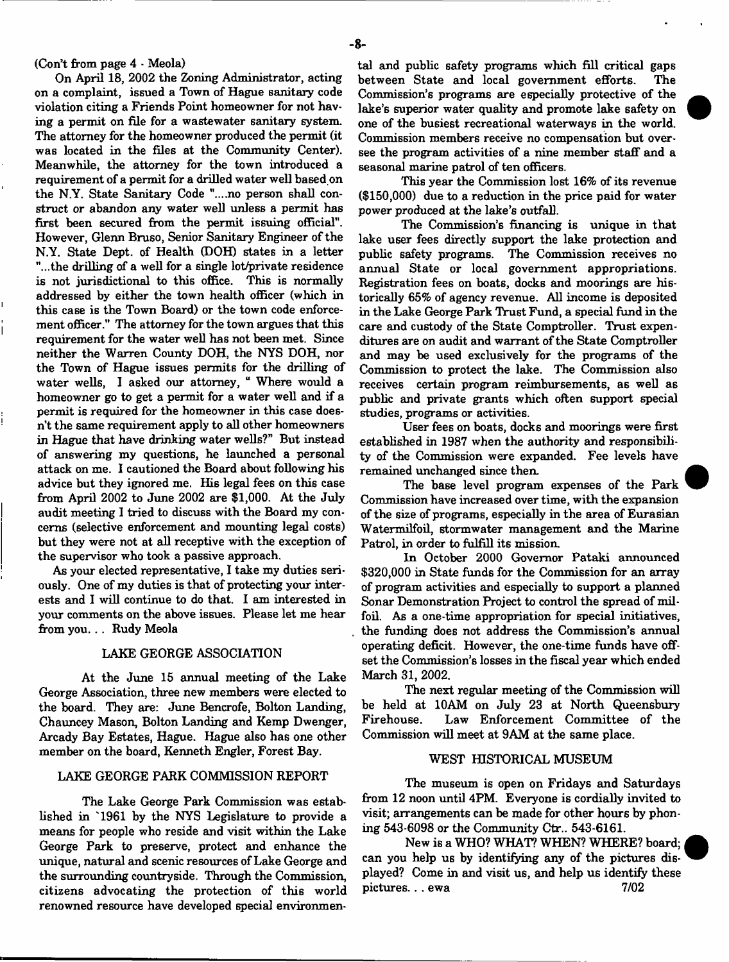#### (Con't from page 4 - Meola)

On April 18, 2002 the Zoning Administrator, acting on a complaint, issued a Town of Hague sanitary code violation citing a Friends Point homeowner for not having a permit on file for a wastewater sanitary system. The attorney for the homeowner produced the permit (it was located in the files at the Community Center). Meanwhile, the attorney for the town introduced a requirement of a permit for a drilled water well based on the N.Y. State Sanitary Code "....no person shall construct or abandon any water well unless a permit has first been secured from the permit issuing official". However, Glenn Bruso, Senior Sanitary Engineer of the N.Y. State Dept, of Health (DOH) states in a letter "...the drilling of a well for a single lot/private residence is not jurisdictional to this office. This is normally addressed by either the town health officer (which in this case is the Town Board) or the town code enforcement officer." The attorney for the town argues that this requirement for the water well has not been met. Since neither the Warren County DOH, the NYS DOH, nor the Town of Hague issues permits for the drilling of water wells, I asked our attorney, " Where would a homeowner go to get a permit for a water well and if a permit is required for the homeowner in this case doesn't the same requirement apply to all other homeowners in Hague that have drinking water wells?" But instead of answering my questions, he launched a personal attack on me. I cautioned the Board about following his advice but they ignored me. His legal fees on this case from April 2002 to June 2002 are \$1,000. At the July audit meeting I tried to discuss with the Board my concerns (selective enforcement and mounting legal costs) but they were not at all receptive with the exception of the supervisor who took a passive approach.

As your elected representative, I take my duties seriously. One of my duties is that of protecting your interests and I will continue to do that. I am interested in your comments on the above issues. Please let me hear from you. . . Rudy Meola

## LAKE GEORGE ASSOCIATION

At the June 15 annual meeting of the Lake George Association, three new members were elected to the board. They are: June Bencrofe, Bolton Landing, Chauncey Mason, Bolton Landing and Kemp Dwenger, Arcady Bay Estates, Hague. Hague also has one other member on the board, Kenneth Engler, Forest Bay.

## LAKE GEORGE PARK COMMISSION REPORT

The Lake George Park Commission was established in '1961 by the NYS Legislature to provide a means for people who reside and visit within the Lake George Park to preserve, protect and enhance the unique, natural and scenic resources of Lake George and the surrounding countryside. Through the Commission, citizens advocating the protection of this world renowned resource have developed special environmental and public safety programs which fill critical gaps between State and local government efforts. The Commission's programs are especially protective of the lake's superior water quality and promote lake safety on one of the busiest recreational waterways in the world. Commission members receive no compensation but oversee the program activities of a nine member staff and a seasonal marine patrol of ten officers.

This year the Commission lost 16% of its revenue  $($150,000)$  due to a reduction in the price paid for water power produced at the lake's outfall.

The Commission's financing is unique in that lake user fees directly support the lake protection and public safety programs. The Commission receives no annual State or local government appropriations. Registration fees on boats, docks and moorings are historically 65% of agency revenue. All income is deposited in the Lake George Park Trust Fund, a special fund in the care and custody of the State Comptroller. Trust expenditures are on audit and warrant of the State Comptroller and may be used exclusively for the programs of the Commission to protect the lake. The Commission also receives certain program reimbursements, as well as public and private grants which often support special studies, programs or activities.

User fees on boats, docks and moorings were first established in 1987 when the authority and responsibility of the Commission were expanded. Fee levels have remained unchanged since then.

The base level program expenses of the Park Commission have increased over time, with the expansion of the size of programs, especially in the area of Eurasian Watermilfoil, stormwater management and the Marine Patrol, in order to fulfill its mission.

In October 2000 Governor Pataki announced \$320,000 in State funds for the Commission for an array of program activities and especially to support a planned Sonar Demonstration Project to control the spread of milfoil. As a one-time appropriation for special initiatives, the funding does not address the Commission's annual operating deficit. However, the one-time funds have offset the Commission's losses in the fiscal year which ended March 31, 2002.

The next regular meeting of the Commission will be held at 10AM on July 23 at North Queensbury Firehouse. Law Enforcement Committee of the Commission will meet at 9AM at the same place.

## WEST HISTORICAL MUSEUM

The museum is open on Fridays and Saturdays from 12 noon until 4PM. Everyone is cordially invited to visit; arrangements can be made for other hours by phoning 543-6098 or the Community Ctr.. 543-6161.

New is a WHO? WHAT? WHEN? WHERE? board; can you help us by identifying any of the pictures displayed? Come in and visit us, and help us identify these pictures... ewa 7/02

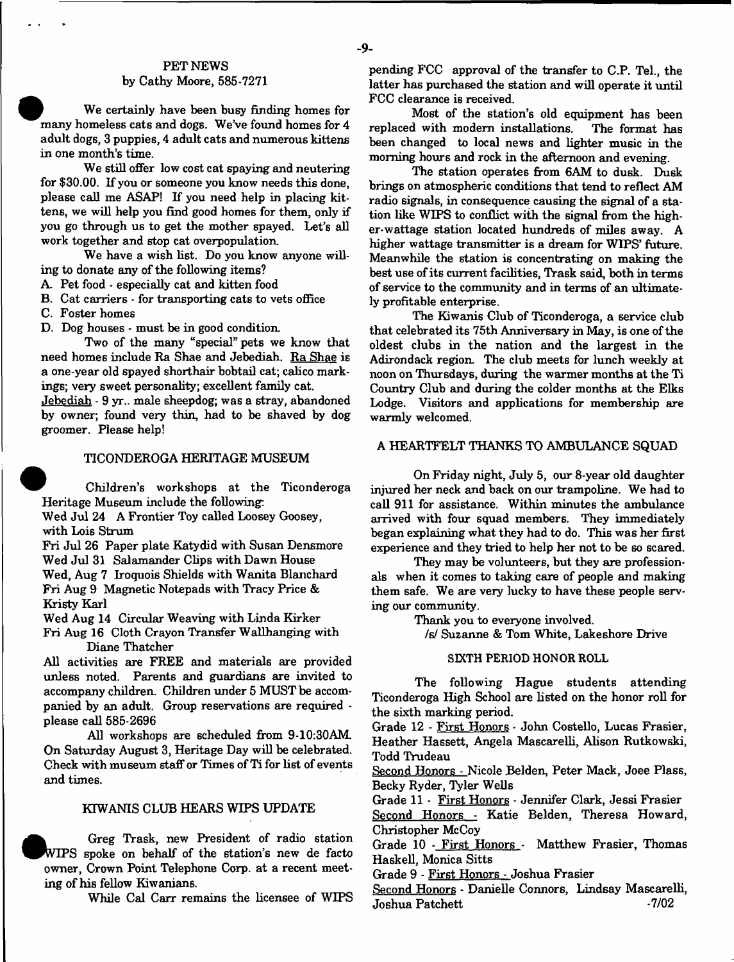## - **9**-

## PET NEWS by Cathy Moore, 585-7271

We certainly have been busy finding homes for many homeless cats and dogs. We've found homes for 4 adult dogs, 3 puppies, 4 adult cats and numerous kittens in one month's time.

We still offer low cost cat spaying and neutering for \$30.00. If you or someone you know needs this done, please call me ASAP! If you need help in placing kittens, we will help you find good homes for them, only if you go through us to get the mother spayed. Let's all work together and stop cat overpopulation.

We have a wish list. Do you know anyone willing to donate any of the following items?

A. Pet food - especially cat and kitten food

B. Cat carriers  $\cdot$  for transporting cats to vets office

C. Foster homes

D. Dog houses - must be in good condition.

Two of the many "special" pets we know that need homes include Ra Shae and Jebediah. Ra Shae is a one-year old spayed shorthair bobtail cat; calico markings; very sweet personality; excellent family cat.

Jebediah - 9 yr.. male sheepdog; was a stray, abandoned by owner; found very thin, had to be shaved by dog groomer. Please help!

## TICONDEROGA HERITAGE MUSEUM

Children's workshops at the Ticonderoga Heritage Museum include the following:

Wed Jul 24 A Frontier Toy called Loosey Goosey, with Lois Strum

Fri Jul 26 Paper plate Katydid with Susan Densmore Wed Jul 31 Salamander Clips with Dawn House Wed, Aug 7 Iroquois Shields with Wanita Blanchard Fri Aug 9 Magnetic Notepads with Tracy Price & Kristy Karl

Wed Aug 14 Circular Weaving with Linda Kirker Fri Aug 16 Cloth Crayon Transfer Wallhanging with Diane Thatcher

All activities are FREE and materials are provided unless noted. Parents and guardians are invited to accompany children. Children under 5 MUST be accompanied by an adult. Group reservations are required please call 585-2696

All workshops are scheduled from 9-10:30AM On Saturday August 3, Heritage Day will be celebrated. Check with museum staff or Times of Ti for list of events and times.

#### KTWANIS CLUB HEARS WIPS UPDATE

Greg Trask, new President of radio station WIPS spoke on behalf of the station's new de facto owner, Crown Point Telephone Corp. at a recent meeting of his fellow Kiwanians.

While Cal Carr remains the licensee of WIPS

pending FCC approval of the transfer to C.P. Tel., the latter has purchased the station and will operate it until FCC clearance is received.

Most of the station's old equipment has been replaced with modern installations. been changed to local news and lighter music in the morning hours and rock in the afternoon and evening.

The station operates from 6AM to dusk. Dusk brings on atmospheric conditions that tend to reflect AM radio signals, in consequence causing the signal of a station like WIPS to conflict with the signal from the higher-watt age station located hundreds of miles away. A higher wattage transmitter is a dream for WIPS' future. Meanwhile the station is concentrating on making the best use of its current facilities, Trask said, both in terms of service to the community and in terms of an ultimately profitable enterprise.

The Kiwanis Club of Ticonderoga, a service club that celebrated its 75th Anniversary in May, is one of the oldest clubs in the nation and the largest in the Adirondack region. The club meets for lunch weekly at noon on Thursdays, during the warmer months at the Ti Country Club and during the colder months at the Elks Lodge. Visitors and applications for membership are warmly welcomed.

#### A HEARTFELT THANKS TO AMBULANCE SQUAD

On Friday night, July 5, our 8-year old daughter injured her neck and back on our trampoline. We had to call 911 for assistance. Within minutes the ambulance arrived with four squad members. They immediately began explaining what they had to do. This was her first experience and they tried to help her not to be so scared.

They may be volunteers, but they are professionals when it comes to taking care of people and making them safe. We are very lucky to have these people serving our community.

Thank you to everyone involved.

/s/ Suzanne & Tom White, Lakeshore Drive

#### SIXTH PERIOD HONOR ROLL

The following Hague students attending Ticonderoga High School are listed on the honor roll for the sixth marking period.

Grade 12 - First Honors - John Costello, Lucas Frasier, Heather Hassett, Angela Mascarelli, Alison Rutkowski, Todd Trudeau

Second Honors - Nicole Belden, Peter Mack, Joee Plass, Becky Ryder, Tyler Wells

Grade 11 - First Honors - Jennifer Clark, Jessi Frasier Second Honors - Katie Belden, Theresa Howard, Christopher McCoy

Grade 10 - First Honors - Matthew Frasier, Thomas Haskell, Monica Sitts

Grade 9 - First Honors - Joshua Frasier

Second Honors - Danielle Connors, Lindsay Mascarelli,<br>Joshua Patchett Joshua Patchett